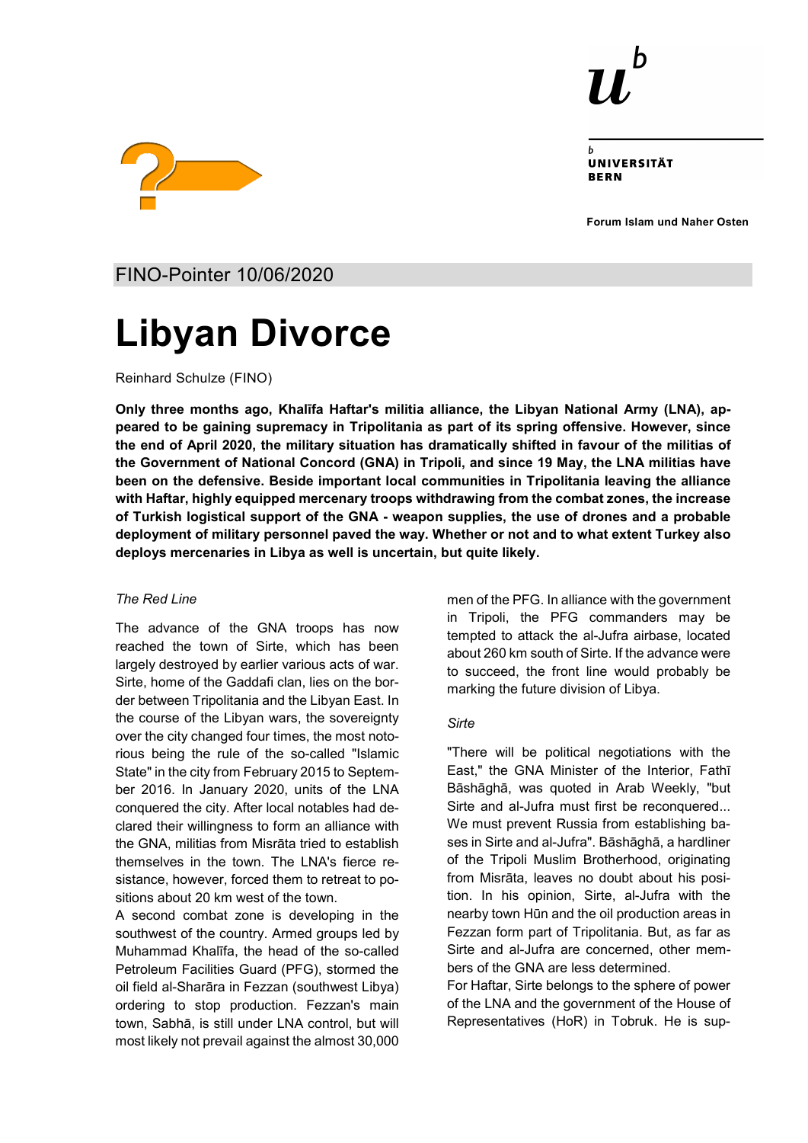

UNIVERSITÄT **RFRN** 

**Forum Islam und Naher Osten**



FINO-Pointer 10/06/2020

# **Libyan Divorce**

Reinhard Schulze (FINO)

**Only three months ago, Khalīfa Haftar's militia alliance, the Libyan National Army (LNA), appeared to be gaining supremacy in Tripolitania as part of its spring offensive. However, since the end of April 2020, the military situation has dramatically shifted in favour of the militias of the Government of National Concord (GNA) in Tripoli, and since 19 May, the LNA militias have been on the defensive. Beside important local communities in Tripolitania leaving the alliance with Haftar, highly equipped mercenary troops withdrawing from the combat zones, the increase of Turkish logistical support of the GNA - weapon supplies, the use of drones and a probable deployment of military personnel paved the way. Whether or not and to what extent Turkey also deploys mercenaries in Libya as well is uncertain, but quite likely.**

## *The Red Line*

The advance of the GNA troops has now reached the town of Sirte, which has been largely destroyed by earlier various acts of war. Sirte, home of the Gaddafi clan, lies on the border between Tripolitania and the Libyan East. In the course of the Libyan wars, the sovereignty over the city changed four times, the most notorious being the rule of the so-called "Islamic State" in the city from February 2015 to September 2016. In January 2020, units of the LNA conquered the city. After local notables had declared their willingness to form an alliance with the GNA, militias from Misrāta tried to establish themselves in the town. The LNA's fierce resistance, however, forced them to retreat to positions about 20 km west of the town.

A second combat zone is developing in the southwest of the country. Armed groups led by Muhammad Khalīfa, the head of the so-called Petroleum Facilities Guard (PFG), stormed the oil field al-Sharāra in Fezzan (southwest Libya) ordering to stop production. Fezzan's main town, Sabhā, is still under LNA control, but will most likely not prevail against the almost 30,000 men of the PFG. In alliance with the government in Tripoli, the PFG commanders may be tempted to attack the al-Jufra airbase, located about 260 km south of Sirte. If the advance were to succeed, the front line would probably be marking the future division of Libya.

## *Sirte*

"There will be political negotiations with the East," the GNA Minister of the Interior, Fathī Bāshāghā, was quoted in Arab Weekly, "but Sirte and al-Jufra must first be reconquered... We must prevent Russia from establishing bases in Sirte and al-Jufra". Bāshāghā, a hardliner of the Tripoli Muslim Brotherhood, originating from Misrāta, leaves no doubt about his position. In his opinion, Sirte, al-Jufra with the nearby town Hūn and the oil production areas in Fezzan form part of Tripolitania. But, as far as Sirte and al-Jufra are concerned, other members of the GNA are less determined.

For Haftar, Sirte belongs to the sphere of power of the LNA and the government of the House of Representatives (HoR) in Tobruk. He is sup-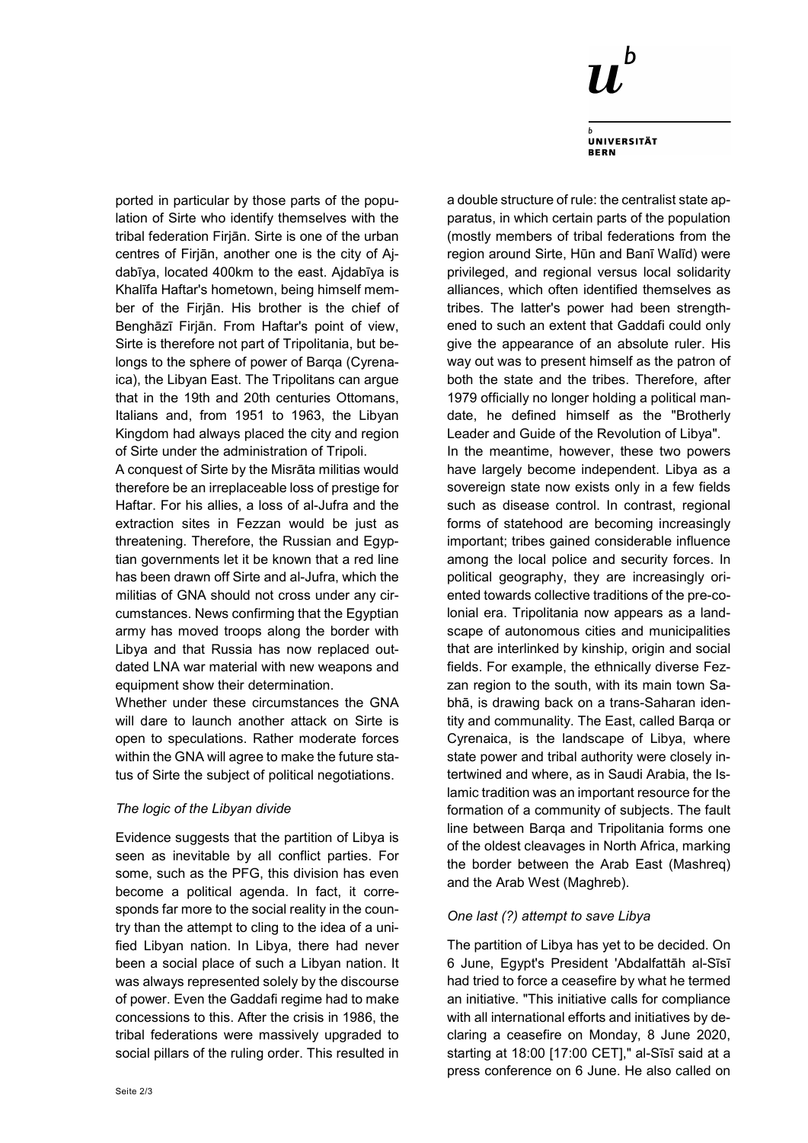

**UNIVERSITÄT BERN** 

ported in particular by those parts of the population of Sirte who identify themselves with the tribal federation Firjān. Sirte is one of the urban centres of Firjān, another one is the city of Ajdabīya, located 400km to the east. Ajdabīya is Khalīfa Haftar's hometown, being himself member of the Firjān. His brother is the chief of Benghāzī Firjān. From Haftar's point of view, Sirte is therefore not part of Tripolitania, but belongs to the sphere of power of Barqa (Cyrenaica), the Libyan East. The Tripolitans can argue that in the 19th and 20th centuries Ottomans, Italians and, from 1951 to 1963, the Libyan Kingdom had always placed the city and region of Sirte under the administration of Tripoli.

A conquest of Sirte by the Misrāta militias would therefore be an irreplaceable loss of prestige for Haftar. For his allies, a loss of al-Jufra and the extraction sites in Fezzan would be just as threatening. Therefore, the Russian and Egyptian governments let it be known that a red line has been drawn off Sirte and al-Jufra, which the militias of GNA should not cross under any circumstances. News confirming that the Egyptian army has moved troops along the border with Libya and that Russia has now replaced outdated LNA war material with new weapons and equipment show their determination.

Whether under these circumstances the GNA will dare to launch another attack on Sirte is open to speculations. Rather moderate forces within the GNA will agree to make the future status of Sirte the subject of political negotiations.

## *The logic of the Libyan divide*

Evidence suggests that the partition of Libya is seen as inevitable by all conflict parties. For some, such as the PFG, this division has even become a political agenda. In fact, it corresponds far more to the social reality in the country than the attempt to cling to the idea of a unified Libyan nation. In Libya, there had never been a social place of such a Libyan nation. It was always represented solely by the discourse of power. Even the Gaddafi regime had to make concessions to this. After the crisis in 1986, the tribal federations were massively upgraded to social pillars of the ruling order. This resulted in a double structure of rule: the centralist state apparatus, in which certain parts of the population (mostly members of tribal federations from the region around Sirte, Hūn and Banī Walīd) were privileged, and regional versus local solidarity alliances, which often identified themselves as tribes. The latter's power had been strengthened to such an extent that Gaddafi could only give the appearance of an absolute ruler. His way out was to present himself as the patron of both the state and the tribes. Therefore, after 1979 officially no longer holding a political mandate, he defined himself as the "Brotherly Leader and Guide of the Revolution of Libya".

In the meantime, however, these two powers have largely become independent. Libya as a sovereign state now exists only in a few fields such as disease control. In contrast, regional forms of statehood are becoming increasingly important; tribes gained considerable influence among the local police and security forces. In political geography, they are increasingly oriented towards collective traditions of the pre-colonial era. Tripolitania now appears as a landscape of autonomous cities and municipalities that are interlinked by kinship, origin and social fields. For example, the ethnically diverse Fezzan region to the south, with its main town Sabhā, is drawing back on a trans-Saharan identity and communality. The East, called Barqa or Cyrenaica, is the landscape of Libya, where state power and tribal authority were closely intertwined and where, as in Saudi Arabia, the Islamic tradition was an important resource for the formation of a community of subjects. The fault line between Barqa and Tripolitania forms one of the oldest cleavages in North Africa, marking the border between the Arab East (Mashreq) and the Arab West (Maghreb).

#### *One last (?) attempt to save Libya*

The partition of Libya has yet to be decided. On 6 June, Egypt's President 'Abdalfattāh al-Sīsī had tried to force a ceasefire by what he termed an initiative. "This initiative calls for compliance with all international efforts and initiatives by declaring a ceasefire on Monday, 8 June 2020, starting at 18:00 [17:00 CET]," al-Sīsī said at a press conference on 6 June. He also called on